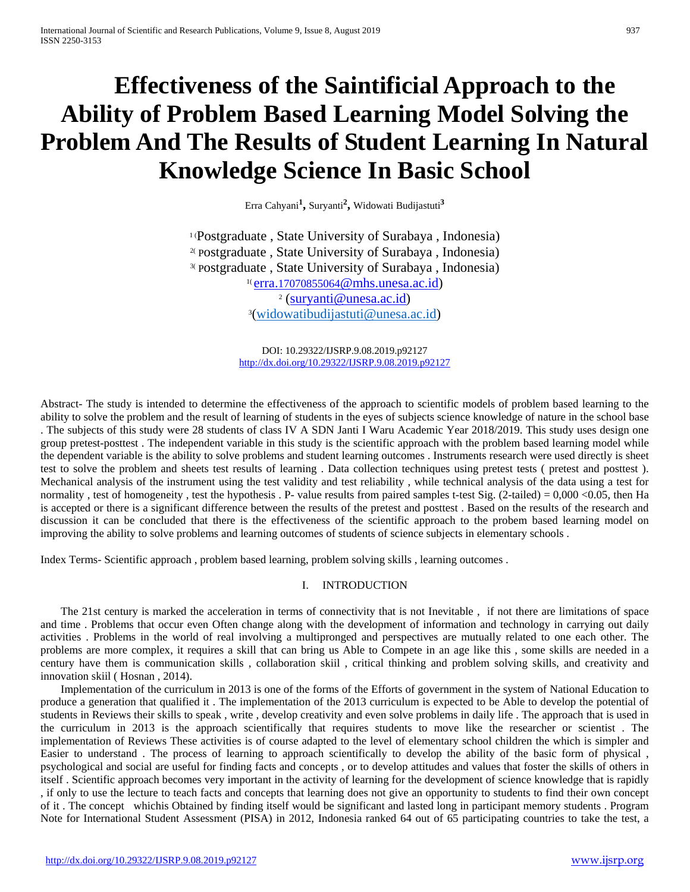# **Effectiveness of the Saintificial Approach to the Ability of Problem Based Learning Model Solving the Problem And The Results of Student Learning In Natural Knowledge Science In Basic School**

Erra Cahyani**<sup>1</sup> ,** Suryanti**<sup>2</sup> ,** Widowati Budijastuti**<sup>3</sup>**

1 ( Postgraduate , State University of Surabaya , Indonesia) 2( Postgraduate , State University of Surabaya , Indonesia) 3( Postgraduate , State University of Surabaya , Indonesia) 1[\( erra.17070855064@mhs.unesa.ac.id\)](mailto:erra.17070855064@mhs.unesa.ac.id) <sup>2</sup> [\(suryanti@unesa.ac.id\)](mailto:suryanti@unesa.ac.id) <sup>3</sup>[\(widowatibudijastuti@unesa.ac.id\)](mailto:widowatibudijastuti@unesa.ac.id)

> DOI: 10.29322/IJSRP.9.08.2019.p92127 <http://dx.doi.org/10.29322/IJSRP.9.08.2019.p92127>

Abstract- The study is intended to determine the effectiveness of the approach to scientific models of problem based learning to the ability to solve the problem and the result of learning of students in the eyes of subjects science knowledge of nature in the school base . The subjects of this study were 28 students of class IV A SDN Janti I Waru Academic Year 2018/2019. This study uses design one group pretest-posttest . The independent variable in this study is the scientific approach with the problem based learning model while the dependent variable is the ability to solve problems and student learning outcomes . Instruments research were used directly is sheet test to solve the problem and sheets test results of learning . Data collection techniques using pretest tests ( pretest and posttest ). Mechanical analysis of the instrument using the test validity and test reliability , while technical analysis of the data using a test for normality , test of homogeneity , test the hypothesis . P- value results from paired samples t-test Sig. (2-tailed) = 0,000 <0.05, then Ha is accepted or there is a significant difference between the results of the pretest and posttest . Based on the results of the research and discussion it can be concluded that there is the effectiveness of the scientific approach to the probem based learning model on improving the ability to solve problems and learning outcomes of students of science subjects in elementary schools .

Index Terms- Scientific approach , problem based learning, problem solving skills , learning outcomes .

# I. INTRODUCTION

The 21st century is marked the acceleration in terms of connectivity that is not Inevitable , if not there are limitations of space and time . Problems that occur even Often change along with the development of information and technology in carrying out daily activities . Problems in the world of real involving a multipronged and perspectives are mutually related to one each other. The problems are more complex, it requires a skill that can bring us Able to Compete in an age like this , some skills are needed in a century have them is communication skills , collaboration skiil , critical thinking and problem solving skills, and creativity and innovation skiil ( Hosnan , 2014).

Implementation of the curriculum in 2013 is one of the forms of the Efforts of government in the system of National Education to produce a generation that qualified it . The implementation of the 2013 curriculum is expected to be Able to develop the potential of students in Reviews their skills to speak , write , develop creativity and even solve problems in daily life . The approach that is used in the curriculum in 2013 is the approach scientifically that requires students to move like the researcher or scientist . The implementation of Reviews These activities is of course adapted to the level of elementary school children the which is simpler and Easier to understand . The process of learning to approach scientifically to develop the ability of the basic form of physical , psychological and social are useful for finding facts and concepts , or to develop attitudes and values that foster the skills of others in itself . Scientific approach becomes very important in the activity of learning for the development of science knowledge that is rapidly , if only to use the lecture to teach facts and concepts that learning does not give an opportunity to students to find their own concept of it . The concept whichis Obtained by finding itself would be significant and lasted long in participant memory students . Program Note for International Student Assessment (PISA) in 2012, Indonesia ranked 64 out of 65 participating countries to take the test, a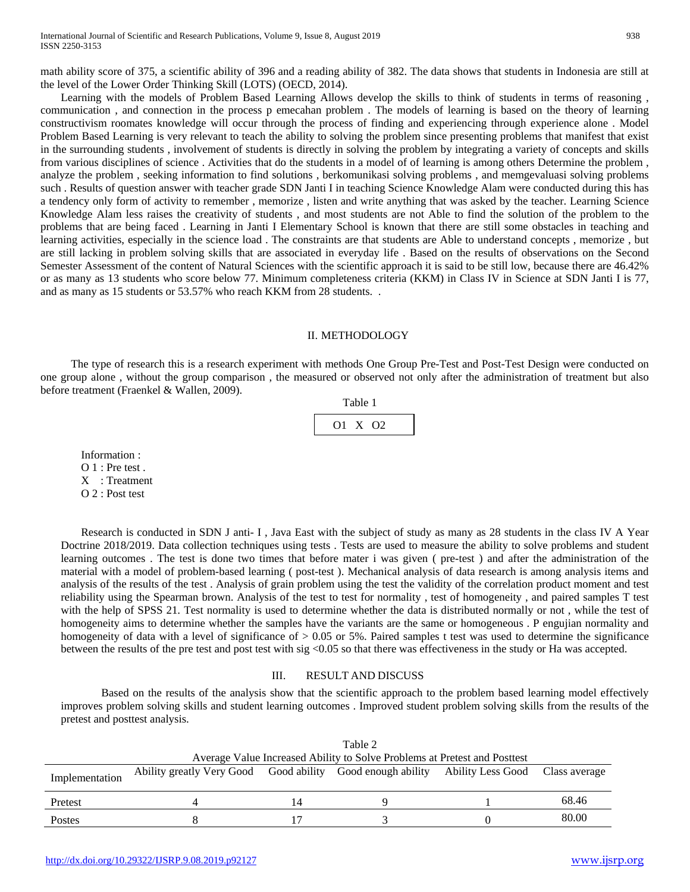math ability score of 375, a scientific ability of 396 and a reading ability of 382. The data shows that students in Indonesia are still at the level of the Lower Order Thinking Skill (LOTS) (OECD, 2014).

Learning with the models of Problem Based Learning Allows develop the skills to think of students in terms of reasoning , communication , and connection in the process p emecahan problem . The models of learning is based on the theory of learning constructivism roomates knowledge will occur through the process of finding and experiencing through experience alone . Model Problem Based Learning is very relevant to teach the ability to solving the problem since presenting problems that manifest that exist in the surrounding students , involvement of students is directly in solving the problem by integrating a variety of concepts and skills from various disciplines of science . Activities that do the students in a model of of learning is among others Determine the problem , analyze the problem , seeking information to find solutions , berkomunikasi solving problems , and memgevaluasi solving problems such . Results of question answer with teacher grade SDN Janti I in teaching Science Knowledge Alam were conducted during this has a tendency only form of activity to remember , memorize , listen and write anything that was asked by the teacher. Learning Science Knowledge Alam less raises the creativity of students , and most students are not Able to find the solution of the problem to the problems that are being faced . Learning in Janti I Elementary School is known that there are still some obstacles in teaching and learning activities, especially in the science load . The constraints are that students are Able to understand concepts , memorize , but are still lacking in problem solving skills that are associated in everyday life . Based on the results of observations on the Second Semester Assessment of the content of Natural Sciences with the scientific approach it is said to be still low, because there are 46.42% or as many as 13 students who score below 77. Minimum completeness criteria (KKM) in Class IV in Science at SDN Janti I is 77, and as many as 15 students or 53.57% who reach KKM from 28 students. .

#### II. METHODOLOGY

The type of research this is a research experiment with methods One Group Pre-Test and Post-Test Design were conducted on one group alone , without the group comparison , the measured or observed not only after the administration of treatment but also before treatment (Fraenkel & Wallen, 2009).  $T_{\alpha}$ 1.1.  $\pm$  1.

| lable 1 |                           |  |              |  |  |  |
|---------|---------------------------|--|--------------|--|--|--|
|         | $\mathbf{U}$ $\mathbf{V}$ |  | $\mathbf{U}$ |  |  |  |

Information :  $O$  1  $\cdot$  Pre test X : Treatment O 2 : Post test

Research is conducted in SDN J anti- I , Java East with the subject of study as many as 28 students in the class IV A Year Doctrine 2018/2019. Data collection techniques using tests . Tests are used to measure the ability to solve problems and student learning outcomes . The test is done two times that before mater i was given ( pre-test ) and after the administration of the material with a model of problem-based learning ( post-test ). Mechanical analysis of data research is among analysis items and analysis of the results of the test . Analysis of grain problem using the test the validity of the correlation product moment and test reliability using the Spearman brown. Analysis of the test to test for normality , test of homogeneity , and paired samples T test with the help of SPSS 21. Test normality is used to determine whether the data is distributed normally or not , while the test of homogeneity aims to determine whether the samples have the variants are the same or homogeneous . P engujian normality and homogeneity of data with a level of significance of  $> 0.05$  or 5%. Paired samples t test was used to determine the significance between the results of the pre test and post test with sig <0.05 so that there was effectiveness in the study or Ha was accepted.

# III. RESULT AND DISCUSS

Based on the results of the analysis show that the scientific approach to the problem based learning model effectively improves problem solving skills and student learning outcomes . Improved student problem solving skills from the results of the pretest and posttest analysis.

|                | Table 2                                                                                    |    |  |  |       |  |  |  |
|----------------|--------------------------------------------------------------------------------------------|----|--|--|-------|--|--|--|
|                | Average Value Increased Ability to Solve Problems at Pretest and Posttest                  |    |  |  |       |  |  |  |
| Implementation | Ability greatly Very Good Good ability Good enough ability Ability Less Good Class average |    |  |  |       |  |  |  |
| Pretest        |                                                                                            | 14 |  |  | 68.46 |  |  |  |
| Postes         |                                                                                            |    |  |  | 80.00 |  |  |  |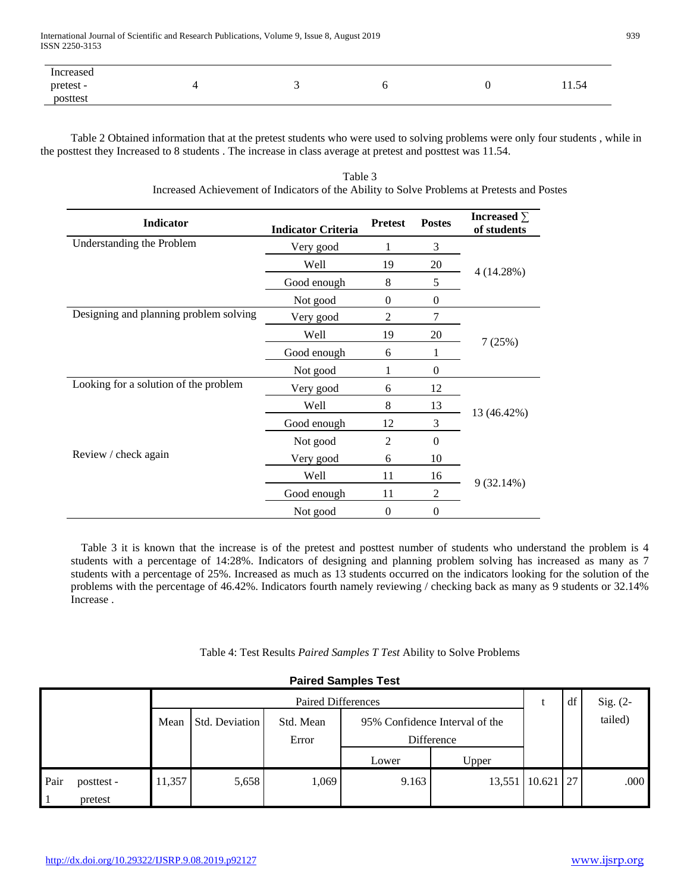| Increased |   |  |       |
|-----------|---|--|-------|
| pretest - | ∽ |  | 11.54 |
| posttest  |   |  |       |

Table 2 Obtained information that at the pretest students who were used to solving problems were only four students , while in the posttest they Increased to 8 students . The increase in class average at pretest and posttest was 11.54.

| Indicator                              | <b>Indicator Criteria</b> | <b>Pretest</b> | <b>Postes</b>  | <b>Increased</b> $\Sigma$<br>of students |  |  |
|----------------------------------------|---------------------------|----------------|----------------|------------------------------------------|--|--|
| Understanding the Problem              | Very good                 | 1              | 3              |                                          |  |  |
|                                        | Well                      | 19             | 20             | 4 (14.28%)                               |  |  |
|                                        | Good enough               | 8              | 5              |                                          |  |  |
|                                        | Not good                  | $\theta$       | $\Omega$       |                                          |  |  |
| Designing and planning problem solving | Very good                 | $\overline{2}$ | 7              |                                          |  |  |
|                                        | Well                      | 19             | 20             | 7(25%)                                   |  |  |
|                                        | Good enough               | 6              | 1              |                                          |  |  |
|                                        | Not good                  | 1              | $\overline{0}$ |                                          |  |  |
| Looking for a solution of the problem  | Very good                 | 6              | 12             |                                          |  |  |
|                                        | Well                      | 8              | 13             | 13 (46.42%)                              |  |  |
|                                        | Good enough               | 12             | 3              |                                          |  |  |
|                                        | Not good                  | $\overline{2}$ | $\Omega$       |                                          |  |  |
| Review / check again                   | Very good                 | 6              | 10             |                                          |  |  |
|                                        | 11<br>Well<br>16          |                |                | 9(32.14%)                                |  |  |
|                                        | Good enough               | 11             | 2              |                                          |  |  |
|                                        | Not good                  | $\overline{0}$ | $\mathbf{0}$   |                                          |  |  |

Table 3 Increased Achievement of Indicators of the Ability to Solve Problems at Pretests and Postes

Table 3 it is known that the increase is of the pretest and posttest number of students who understand the problem is 4 students with a percentage of 14:28%. Indicators of designing and planning problem solving has increased as many as 7 students with a percentage of 25%. Increased as much as 13 students occurred on the indicators looking for the solution of the problems with the percentage of 46.42%. Indicators fourth namely reviewing / checking back as many as 9 students or 32.14% Increase .

Table 4: Test Results *Paired Samples T Test* Ability to Solve Problems

#### Paired Differences that is a state of the Sig. (2-Mean Std. Deviation Std. Mean 95% Confidence Interval of the tailed) Error Difference Lower Upper Pair 1 posttest pretest 11,357 5,658 1,069 9.163 13,551 10.621 27 .000

# **Paired Samples Test**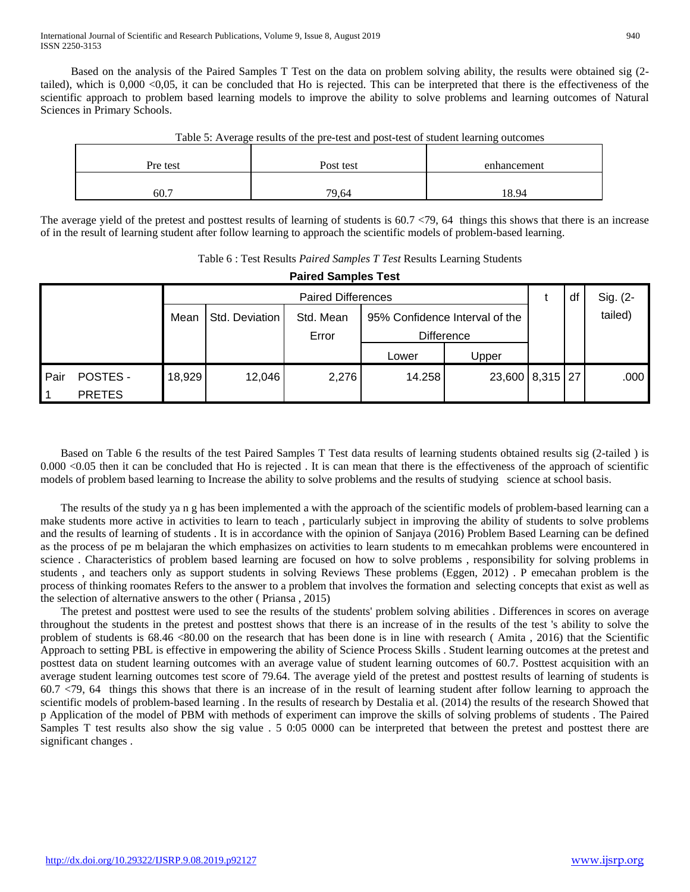Based on the analysis of the Paired Samples T Test on the data on problem solving ability, the results were obtained sig (2 tailed), which is 0,000 <0,05, it can be concluded that Ho is rejected. This can be interpreted that there is the effectiveness of the scientific approach to problem based learning models to improve the ability to solve problems and learning outcomes of Natural Sciences in Primary Schools.

| Table 5. Tryenge results of the pre-test and post-test of stadent realming outcomes |           |             |  |  |  |  |  |  |
|-------------------------------------------------------------------------------------|-----------|-------------|--|--|--|--|--|--|
| Pre test                                                                            | Post test | enhancement |  |  |  |  |  |  |
| 60.7                                                                                | 79.64     | 18.94       |  |  |  |  |  |  |

Table 5: Average results of the pre-test and post-test of student learning outcomes

The average yield of the pretest and posttest results of learning of students is 60.7 <79, 64 things this shows that there is an increase of in the result of learning student after follow learning to approach the scientific models of problem-based learning.

**Paired Samples Test**

| Table 6 : Test Results Paired Samples T Test Results Learning Students |  |  |
|------------------------------------------------------------------------|--|--|
|------------------------------------------------------------------------|--|--|

|      |               | <b>Paired Differences</b> |                |           |                                |                 | df | Sig. (2- |         |  |
|------|---------------|---------------------------|----------------|-----------|--------------------------------|-----------------|----|----------|---------|--|
|      |               | Mean                      | Std. Deviation | Std. Mean | 95% Confidence Interval of the |                 |    |          | tailed) |  |
|      |               |                           |                | Error     | <b>Difference</b>              |                 |    |          |         |  |
|      |               |                           |                |           | Lower                          | Upper           |    |          |         |  |
| Pair | POSTES -      | 18,929                    | 12,046         | 2,276     | 14.258                         | 23,600 8,315 27 |    |          | .000    |  |
|      | <b>PRETES</b> |                           |                |           |                                |                 |    |          |         |  |

Based on Table 6 the results of the test Paired Samples T Test data results of learning students obtained results sig (2-tailed ) is  $0.000 \le 0.05$  then it can be concluded that Ho is rejected. It is can mean that there is the effectiveness of the approach of scientific models of problem based learning to Increase the ability to solve problems and the results of studying science at school basis.

The results of the study ya n g has been implemented a with the approach of the scientific models of problem-based learning can a make students more active in activities to learn to teach , particularly subject in improving the ability of students to solve problems and the results of learning of students . It is in accordance with the opinion of Sanjaya (2016) Problem Based Learning can be defined as the process of pe m belajaran the which emphasizes on activities to learn students to m emecahkan problems were encountered in science . Characteristics of problem based learning are focused on how to solve problems , responsibility for solving problems in students , and teachers only as support students in solving Reviews These problems (Eggen, 2012) . P emecahan problem is the process of thinking roomates Refers to the answer to a problem that involves the formation and selecting concepts that exist as well as the selection of alternative answers to the other ( Priansa , 2015)

The pretest and posttest were used to see the results of the students' problem solving abilities . Differences in scores on average throughout the students in the pretest and posttest shows that there is an increase of in the results of the test 's ability to solve the problem of students is 68.46 <80.00 on the research that has been done is in line with research ( Amita , 2016) that the Scientific Approach to setting PBL is effective in empowering the ability of Science Process Skills . Student learning outcomes at the pretest and posttest data on student learning outcomes with an average value of student learning outcomes of 60.7. Posttest acquisition with an average student learning outcomes test score of 79.64. The average yield of the pretest and posttest results of learning of students is  $60.7 < 79$ , 64 things this shows that there is an increase of in the result of learning student after follow learning to approach the scientific models of problem-based learning . In the results of research by Destalia et al. (2014) the results of the research Showed that p Application of the model of PBM with methods of experiment can improve the skills of solving problems of students . The Paired Samples T test results also show the sig value . 5 0:05 0000 can be interpreted that between the pretest and posttest there are significant changes .